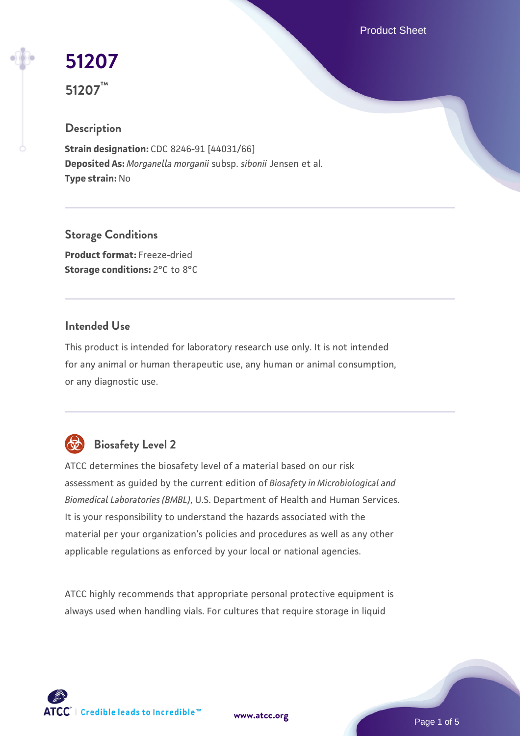Product Sheet

# **[51207](https://www.atcc.org/products/51207)**

**51207™**

## **Description**

**Strain designation:** CDC 8246-91 [44031/66] **Deposited As:** *Morganella morganii* subsp. *sibonii* Jensen et al. **Type strain:** No

**Storage Conditions Product format:** Freeze-dried **Storage conditions:** 2°C to 8°C

#### **Intended Use**

This product is intended for laboratory research use only. It is not intended for any animal or human therapeutic use, any human or animal consumption, or any diagnostic use.

# **Biosafety Level 2**

ATCC determines the biosafety level of a material based on our risk assessment as guided by the current edition of *Biosafety in Microbiological and Biomedical Laboratories (BMBL)*, U.S. Department of Health and Human Services. It is your responsibility to understand the hazards associated with the material per your organization's policies and procedures as well as any other applicable regulations as enforced by your local or national agencies.

ATCC highly recommends that appropriate personal protective equipment is always used when handling vials. For cultures that require storage in liquid

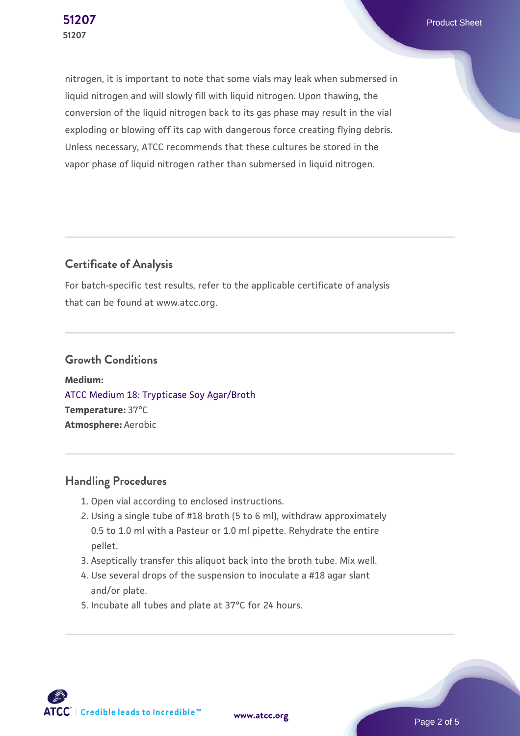nitrogen, it is important to note that some vials may leak when submersed in liquid nitrogen and will slowly fill with liquid nitrogen. Upon thawing, the conversion of the liquid nitrogen back to its gas phase may result in the vial exploding or blowing off its cap with dangerous force creating flying debris. Unless necessary, ATCC recommends that these cultures be stored in the vapor phase of liquid nitrogen rather than submersed in liquid nitrogen.

### **Certificate of Analysis**

For batch-specific test results, refer to the applicable certificate of analysis that can be found at www.atcc.org.

#### **Growth Conditions**

**Medium:**  [ATCC Medium 18: Trypticase Soy Agar/Broth](https://www.atcc.org/-/media/product-assets/documents/microbial-media-formulations/1/8/atcc-medium-18.pdf?rev=832846e1425841f19fc70569848edae7) **Temperature:** 37°C **Atmosphere:** Aerobic

#### **Handling Procedures**

- 1. Open vial according to enclosed instructions.
- 2. Using a single tube of #18 broth (5 to 6 ml), withdraw approximately 0.5 to 1.0 ml with a Pasteur or 1.0 ml pipette. Rehydrate the entire pellet.
- 3. Aseptically transfer this aliquot back into the broth tube. Mix well.
- 4. Use several drops of the suspension to inoculate a #18 agar slant and/or plate.
- 5. Incubate all tubes and plate at 37°C for 24 hours.

ATCC | Credible leads to Incredible™

**[www.atcc.org](http://www.atcc.org)**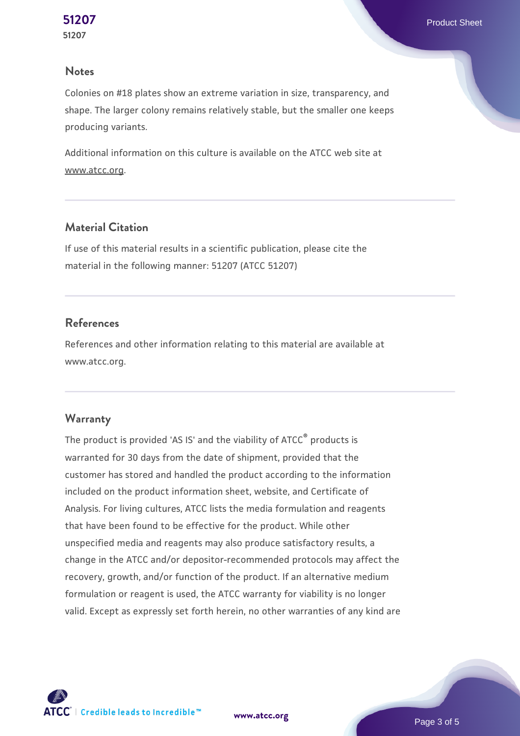#### **Notes**

Colonies on #18 plates show an extreme variation in size, transparency, and shape. The larger colony remains relatively stable, but the smaller one keeps producing variants.

Additional information on this culture is available on the ATCC web site at www.atcc.org.

#### **Material Citation**

If use of this material results in a scientific publication, please cite the material in the following manner: 51207 (ATCC 51207)

#### **References**

References and other information relating to this material are available at www.atcc.org.

#### **Warranty**

The product is provided 'AS IS' and the viability of ATCC® products is warranted for 30 days from the date of shipment, provided that the customer has stored and handled the product according to the information included on the product information sheet, website, and Certificate of Analysis. For living cultures, ATCC lists the media formulation and reagents that have been found to be effective for the product. While other unspecified media and reagents may also produce satisfactory results, a change in the ATCC and/or depositor-recommended protocols may affect the recovery, growth, and/or function of the product. If an alternative medium formulation or reagent is used, the ATCC warranty for viability is no longer valid. Except as expressly set forth herein, no other warranties of any kind are



**[www.atcc.org](http://www.atcc.org)**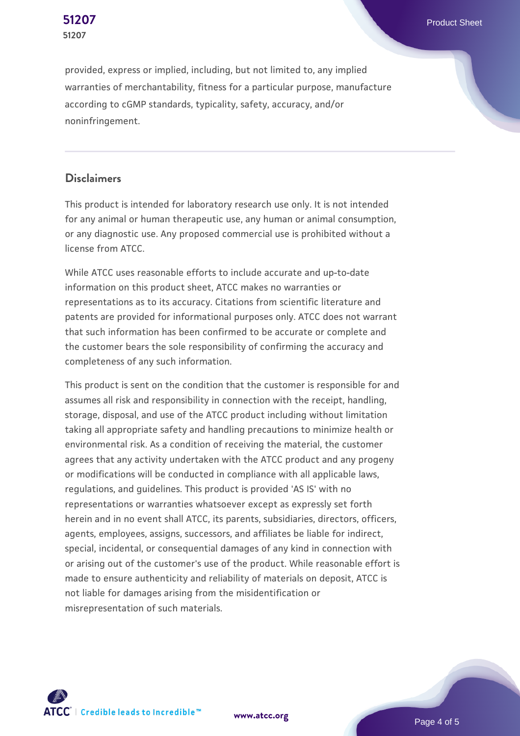provided, express or implied, including, but not limited to, any implied warranties of merchantability, fitness for a particular purpose, manufacture according to cGMP standards, typicality, safety, accuracy, and/or noninfringement.

#### **Disclaimers**

This product is intended for laboratory research use only. It is not intended for any animal or human therapeutic use, any human or animal consumption, or any diagnostic use. Any proposed commercial use is prohibited without a license from ATCC.

While ATCC uses reasonable efforts to include accurate and up-to-date information on this product sheet, ATCC makes no warranties or representations as to its accuracy. Citations from scientific literature and patents are provided for informational purposes only. ATCC does not warrant that such information has been confirmed to be accurate or complete and the customer bears the sole responsibility of confirming the accuracy and completeness of any such information.

This product is sent on the condition that the customer is responsible for and assumes all risk and responsibility in connection with the receipt, handling, storage, disposal, and use of the ATCC product including without limitation taking all appropriate safety and handling precautions to minimize health or environmental risk. As a condition of receiving the material, the customer agrees that any activity undertaken with the ATCC product and any progeny or modifications will be conducted in compliance with all applicable laws, regulations, and guidelines. This product is provided 'AS IS' with no representations or warranties whatsoever except as expressly set forth herein and in no event shall ATCC, its parents, subsidiaries, directors, officers, agents, employees, assigns, successors, and affiliates be liable for indirect, special, incidental, or consequential damages of any kind in connection with or arising out of the customer's use of the product. While reasonable effort is made to ensure authenticity and reliability of materials on deposit, ATCC is not liable for damages arising from the misidentification or misrepresentation of such materials.



**[www.atcc.org](http://www.atcc.org)**

Page 4 of 5